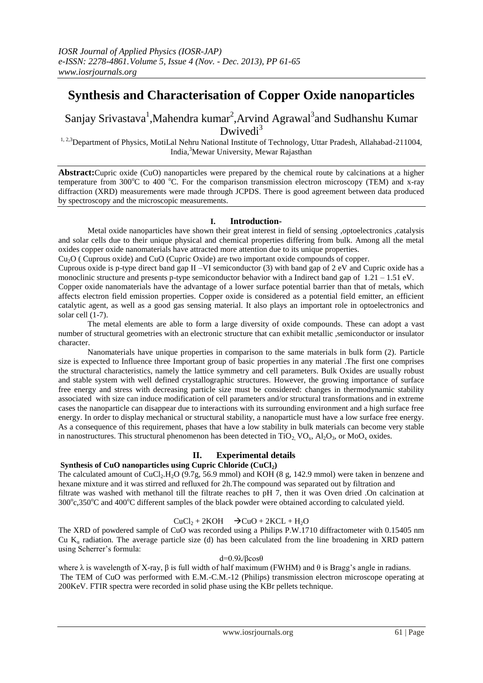# **Synthesis and Characterisation of Copper Oxide nanoparticles**

## Sanjay Srivastava<sup>1</sup>, Mahendra kumar<sup>2</sup>, Arvind Agrawal<sup>3</sup>and Sudhanshu Kumar Dwivedi $3$

<sup>1, 2,3</sup>Department of Physics, MotiLal Nehru National Institute of Technology, Uttar Pradesh, Allahabad-211004, India, <sup>3</sup>Mewar University, Mewar Rajasthan

**Abstract:**Cupric oxide (CuO) nanoparticles were prepared by the chemical route by calcinations at a higher temperature from  $300^{\circ}$ C to  $400^{\circ}$ C. For the comparison transmission electron microscopy (TEM) and x-ray diffraction (XRD) measurements were made through JCPDS. There is good agreement between data produced by spectroscopy and the microscopic measurements.

#### **I. Introduction-**

Metal oxide nanoparticles have shown their great interest in field of sensing ,optoelectronics ,catalysis and solar cells due to their unique physical and chemical properties differing from bulk. Among all the metal oxides copper oxide nanomaterials have attracted more attention due to its unique properties.

Cu2O ( Cuprous oxide) and CuO (Cupric Oxide) are two important oxide compounds of copper.

Cuprous oxide is p-type direct band gap II –VI semiconductor (3) with band gap of 2 eV and Cupric oxide has a monoclinic structure and presents p-type semiconductor behavior with a Indirect band gap of 1.21 – 1.51 eV.

Copper oxide nanomaterials have the advantage of a lower surface potential barrier than that of metals, which affects electron field emission properties. Copper oxide is considered as a potential field emitter, an efficient catalytic agent, as well as a good gas sensing material. It also plays an important role in optoelectronics and solar cell (1-7).

The metal elements are able to form a large diversity of oxide compounds. These can adopt a vast number of structural geometries with an electronic structure that can exhibit metallic ,semiconductor or insulator character.

Nanomaterials have unique properties in comparison to the same materials in bulk form (2). Particle size is expected to Influence three Important group of basic properties in any material .The first one comprises the structural characteristics, namely the lattice symmetry and cell parameters. Bulk Oxides are usually robust and stable system with well defined crystallographic structures. However, the growing importance of surface free energy and stress with decreasing particle size must be considered: changes in thermodynamic stability associated with size can induce modification of cell parameters and/or structural transformations and in extreme cases the nanoparticle can disappear due to interactions with its surrounding environment and a high surface free energy. In order to display mechanical or structural stability, a nanoparticle must have a low surface free energy. As a consequence of this requirement, phases that have a low stability in bulk materials can become very stable in nanostructures. This structural phenomenon has been detected in  $TiO_2$ ,  $VO_x$ ,  $Al_2O_3$ , or  $Mo_x$  oxides.

### **II. Experimental details**

#### **Synthesis of CuO nanoparticles using Cupric Chloride (CuCl2)**

The calculated amount of CuCl<sub>2</sub>.H<sub>2</sub>O (9.7g, 56.9 mmol) and KOH (8 g, 142.9 mmol) were taken in benzene and hexane mixture and it was stirred and refluxed for 2h.The compound was separated out by filtration and filtrate was washed with methanol till the filtrate reaches to pH 7, then it was Oven dried .On calcination at 300°c,350°C and 400°C different samples of the black powder were obtained according to calculated yield.

#### $CuCl<sub>2</sub> + 2KOH$   $\rightarrow$   $CuO + 2KCL + H<sub>2</sub>O$

The XRD of powdered sample of CuO was recorded using a Philips P.W.1710 diffractometer with 0.15405 nm Cu  $K_{\alpha}$  radiation. The average particle size (d) has been calculated from the line broadening in XRD pattern using Scherrer's formula:

#### d=0.9λ/βcosθ

where  $\lambda$  is wavelength of X-ray,  $\beta$  is full width of half maximum (FWHM) and  $\theta$  is Bragg's angle in radians. The TEM of CuO was performed with E.M.-C.M.-12 (Philips) transmission electron microscope operating at 200KeV. FTIR spectra were recorded in solid phase using the KBr pellets technique.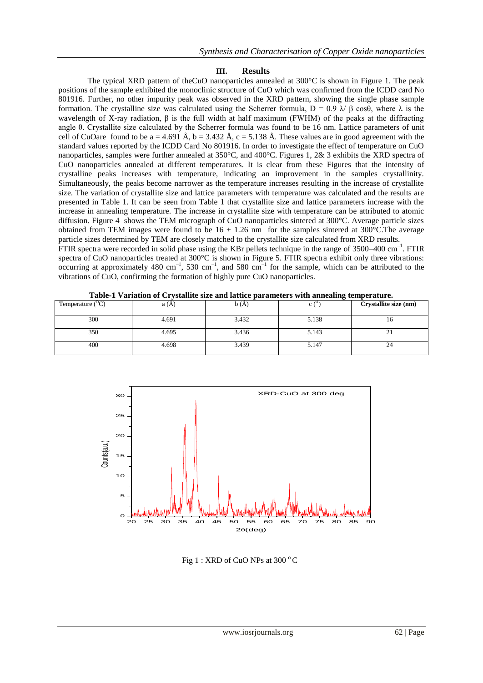#### **III. Results**

The typical XRD pattern of theCuO nanoparticles annealed at 300°C is shown in Figure 1. The peak positions of the sample exhibited the monoclinic structure of CuO which was confirmed from the ICDD card No 801916. Further, no other impurity peak was observed in the XRD pattern, showing the single phase sample formation. The crystalline size was calculated using the Scherrer formula, D = 0.9 λ/ β cosθ, where λ is the wavelength of X-ray radiation,  $\beta$  is the full width at half maximum (FWHM) of the peaks at the diffracting angle θ. Crystallite size calculated by the Scherrer formula was found to be 16 nm. Lattice parameters of unit cell of CuOare found to be a = 4.691 Å, b = 3.432 Å, c = 5.138 Å. These values are in good agreement with the standard values reported by the ICDD Card No 801916. In order to investigate the effect of temperature on CuO nanoparticles, samples were further annealed at 350°C, and 400°C. Figures 1, 2& 3 exhibits the XRD spectra of CuO nanoparticles annealed at different temperatures. It is clear from these Figures that the intensity of crystalline peaks increases with temperature, indicating an improvement in the samples crystallinity. Simultaneously, the peaks become narrower as the temperature increases resulting in the increase of crystallite size. The variation of crystallite size and lattice parameters with temperature was calculated and the results are presented in Table 1. It can be seen from Table 1 that crystallite size and lattice parameters increase with the increase in annealing temperature. The increase in crystallite size with temperature can be attributed to atomic diffusion. Figure 4 shows the TEM micrograph of CuO nanoparticles sintered at 300°C. Average particle sizes obtained from TEM images were found to be  $16 \pm 1.26$  nm for the samples sintered at 300°C. The average particle sizes determined by TEM are closely matched to the crystallite size calculated from XRD results. FTIR spectra were recorded in solid phase using the KBr pellets technique in the range of 3500–400 cm<sup>-1</sup>. FTIR spectra of CuO nanoparticles treated at 300°C is shown in Figure 5. FTIR spectra exhibit only three vibrations: occurring at approximately 480 cm<sup>-1</sup>, 530 cm<sup>-1</sup>, and 580 cm<sup>-1</sup> for the sample, which can be attributed to the vibrations of CuO, confirming the formation of highly pure CuO nanoparticles.

| Temperature $({}^{\circ}C)$ | a (A) | b(A,  | -<br>c١ | Crystallite size (nm) |
|-----------------------------|-------|-------|---------|-----------------------|
| 300                         | 4.691 | 3.432 | 5.138   | 10                    |
| 350                         | 4.695 | 3.436 | 5.143   | <u>.</u>              |
| 400                         | 4.698 | 3.439 | 5.147   | 24                    |

**Table-1 Variation of Crystallite size and lattice parameters with annealing temperature.**



Fig 1 : XRD of CuO NPs at  $300 °C$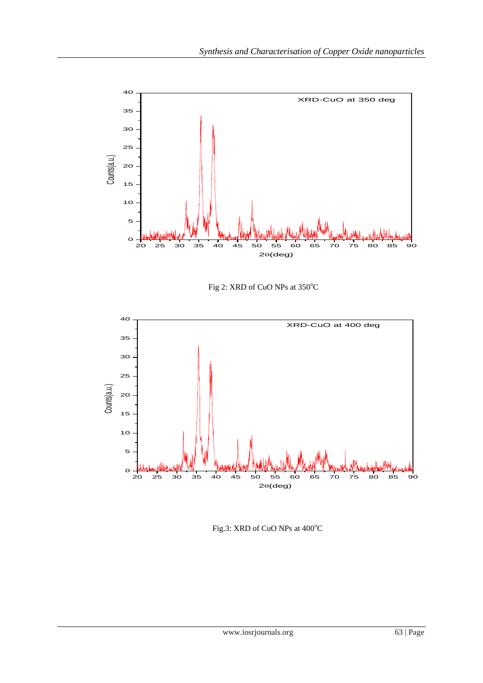





Fig.3: XRD of CuO NPs at  $400^{\circ}$ C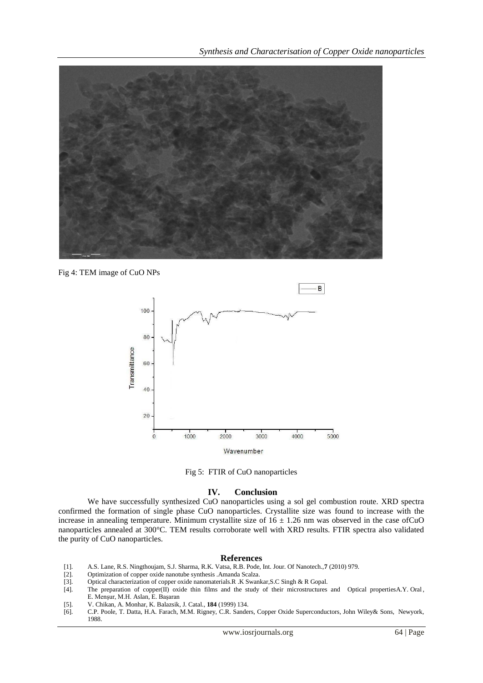

Fig 4: TEM image of CuO NPs



Fig 5: FTIR of CuO nanoparticles

#### **IV. Conclusion**

We have successfully synthesized CuO nanoparticles using a sol gel combustion route. XRD spectra confirmed the formation of single phase CuO nanoparticles. Crystallite size was found to increase with the increase in annealing temperature. Minimum crystallite size of  $16 \pm 1.26$  nm was observed in the case ofCuO nanoparticles annealed at 300°C. TEM results corroborate well with XRD results. FTIR spectra also validated the purity of CuO nanoparticles.

#### **References**

- [1]. A.S. Lane, R.S. Ningthoujam, S.J. Sharma, R.K. Vatsa, R.B. Pode, Int. Jour. Of Nanotech.,**7** (2010) 979.
- [2]. Optimization of copper oxide nanotube synthesis .Amanda Scalza.<br>[3]. Optical characterization of copper oxide nanomaterials.R. K Swan
- [3]. Optical characterization of copper oxide nanomaterials.R .K Swankar,S.C Singh & R Gopal.
- The preparation of copper(II) oxide thin films and the study of their microstructures and Optical propertiesA.Y. Oral, E. Menşur, M.H. Aslan, E. Başaran
- [5]. V. Chikan, A. Monhar, K. Balazsik, J. Catal., **184** (1999) 134.
- [6]. C.P. Poole, T. Datta, H.A. Farach, M.M. Rigney, C.R. Sanders, Copper Oxide Superconductors, John Wiley& Sons, Newyork, 1988.